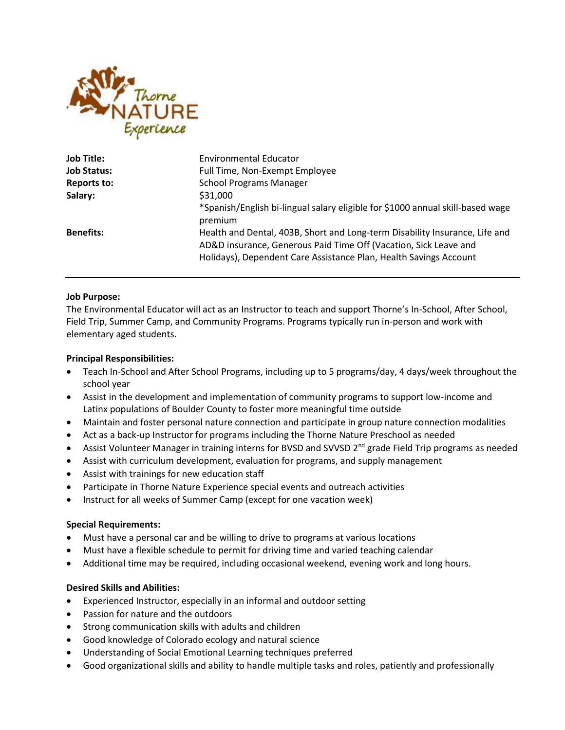

| <b>Job Title:</b>  | <b>Environmental Educator</b>                                                                                                                                                                                        |
|--------------------|----------------------------------------------------------------------------------------------------------------------------------------------------------------------------------------------------------------------|
| <b>Job Status:</b> | Full Time, Non-Exempt Employee                                                                                                                                                                                       |
| Reports to:        | <b>School Programs Manager</b>                                                                                                                                                                                       |
| Salary:            | \$31,000                                                                                                                                                                                                             |
|                    | *Spanish/English bi-lingual salary eligible for \$1000 annual skill-based wage<br>premium                                                                                                                            |
| <b>Benefits:</b>   | Health and Dental, 403B, Short and Long-term Disability Insurance, Life and<br>AD&D insurance, Generous Paid Time Off (Vacation, Sick Leave and<br>Holidays), Dependent Care Assistance Plan, Health Savings Account |

### **Job Purpose:**

The Environmental Educator will act as an Instructor to teach and support Thorne's In-School, After School, Field Trip, Summer Camp, and Community Programs. Programs typically run in-person and work with elementary aged students.

### **Principal Responsibilities:**

- Teach In-School and After School Programs, including up to 5 programs/day, 4 days/week throughout the school year
- Assist in the development and implementation of community programs to support low-income and Latinx populations of Boulder County to foster more meaningful time outside
- Maintain and foster personal nature connection and participate in group nature connection modalities
- Act as a back-up Instructor for programs including the Thorne Nature Preschool as needed
- **•** Assist Volunteer Manager in training interns for BVSD and SVVSD  $2^{nd}$  grade Field Trip programs as needed
- Assist with curriculum development, evaluation for programs, and supply management
- Assist with trainings for new education staff
- Participate in Thorne Nature Experience special events and outreach activities
- Instruct for all weeks of Summer Camp (except for one vacation week)

## **Special Requirements:**

- Must have a personal car and be willing to drive to programs at various locations
- Must have a flexible schedule to permit for driving time and varied teaching calendar
- Additional time may be required, including occasional weekend, evening work and long hours.

# **Desired Skills and Abilities:**

- Experienced Instructor, especially in an informal and outdoor setting
- Passion for nature and the outdoors
- Strong communication skills with adults and children
- Good knowledge of Colorado ecology and natural science
- Understanding of Social Emotional Learning techniques preferred
- Good organizational skills and ability to handle multiple tasks and roles, patiently and professionally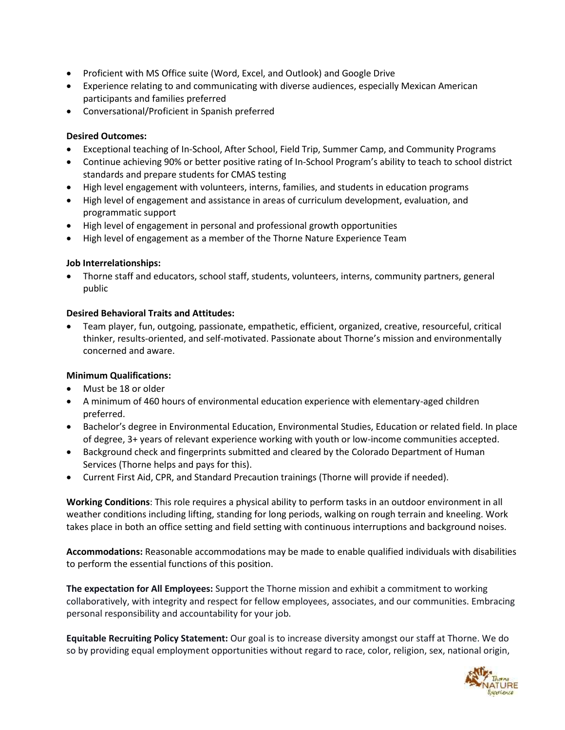- Proficient with MS Office suite (Word, Excel, and Outlook) and Google Drive
- Experience relating to and communicating with diverse audiences, especially Mexican American participants and families preferred
- Conversational/Proficient in Spanish preferred

## **Desired Outcomes:**

- Exceptional teaching of In-School, After School, Field Trip, Summer Camp, and Community Programs
- Continue achieving 90% or better positive rating of In-School Program's ability to teach to school district standards and prepare students for CMAS testing
- High level engagement with volunteers, interns, families, and students in education programs
- High level of engagement and assistance in areas of curriculum development, evaluation, and programmatic support
- High level of engagement in personal and professional growth opportunities
- High level of engagement as a member of the Thorne Nature Experience Team

# **Job Interrelationships:**

 Thorne staff and educators, school staff, students, volunteers, interns, community partners, general public

# **Desired Behavioral Traits and Attitudes:**

 Team player, fun, outgoing, passionate, empathetic, efficient, organized, creative, resourceful, critical thinker, results-oriented, and self-motivated. Passionate about Thorne's mission and environmentally concerned and aware.

## **Minimum Qualifications:**

- Must be 18 or older
- A minimum of 460 hours of environmental education experience with elementary-aged children preferred.
- Bachelor's degree in Environmental Education, Environmental Studies, Education or related field. In place of degree, 3+ years of relevant experience working with youth or low-income communities accepted.
- Background check and fingerprints submitted and cleared by the Colorado Department of Human Services (Thorne helps and pays for this).
- Current First Aid, CPR, and Standard Precaution trainings (Thorne will provide if needed).

**Working Conditions**: This role requires a physical ability to perform tasks in an outdoor environment in all weather conditions including lifting, standing for long periods, walking on rough terrain and kneeling. Work takes place in both an office setting and field setting with continuous interruptions and background noises.

**Accommodations:** Reasonable accommodations may be made to enable qualified individuals with disabilities to perform the essential functions of this position.

**The expectation for All Employees:** Support the Thorne mission and exhibit a commitment to working collaboratively, with integrity and respect for fellow employees, associates, and our communities. Embracing personal responsibility and accountability for your job.

**Equitable Recruiting Policy Statement:** Our goal is to increase diversity amongst our staff at Thorne. We do so by providing equal employment opportunities without regard to race, color, religion, sex, national origin,